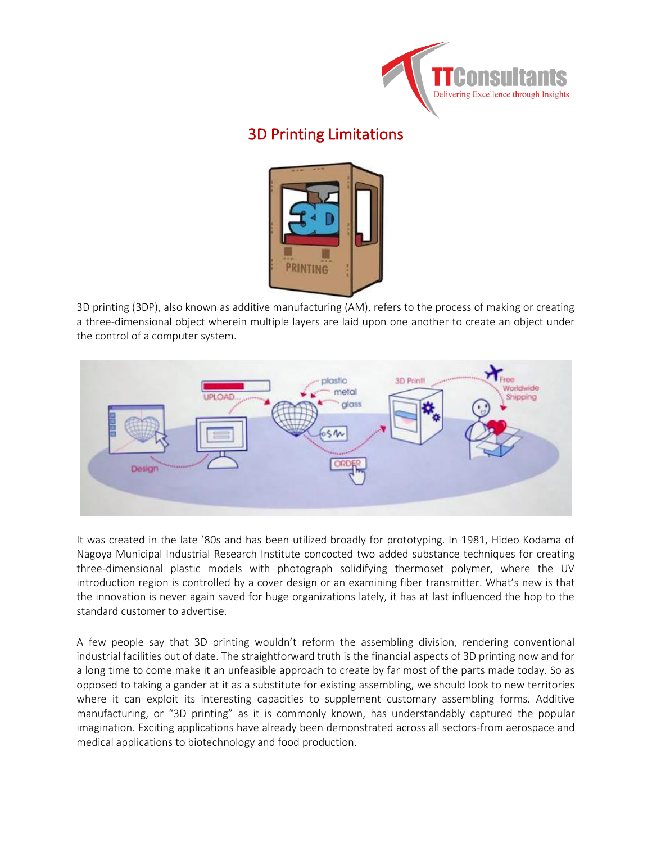

# [3D Printing Limitations](https://ttconsultants.com/3d-printing-limitations/)



3D printing (3DP), also known as additive manufacturing (AM), refers to the process of making or creating a three-dimensional object wherein multiple layers are laid upon one another to create an object under the control of a computer system.



It was created in the late '80s and has been utilized broadly for prototyping. In 1981, Hideo Kodama of Nagoya Municipal Industrial Research Institute concocted two added substance techniques for creating three-dimensional plastic models with photograph solidifying thermoset polymer, where the UV introduction region is controlled by a cover design or an examining fiber transmitter. What's new is that the innovation is never again saved for huge organizations lately, it has at last influenced the hop to the standard customer to advertise.

A few people say that 3D printing wouldn't reform the assembling division, rendering conventional industrial facilities out of date. The straightforward truth is the financial aspects of 3D printing now and for a long time to come make it an unfeasible approach to create by far most of the parts made today. So as opposed to taking a gander at it as a substitute for existing assembling, we should look to new territories where it can exploit its interesting capacities to supplement customary assembling forms. Additive manufacturing, or "3D printing" as it is commonly known, has understandably captured the popular imagination. Exciting applications have already been demonstrated across all sectors-from aerospace and medical applications to biotechnology and food production.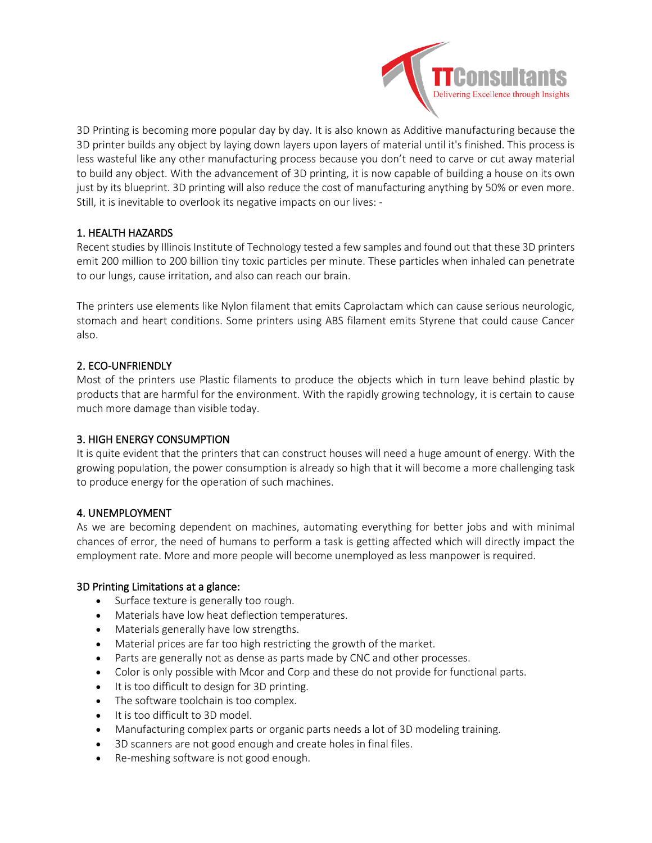

3D Printing is becoming more popular day by day. It is also known as Additive manufacturing because the 3D printer builds any object by laying down layers upon layers of material until it's finished. This process is less wasteful like any other manufacturing process because you don't need to carve or cut away material to build any object. With the advancement of 3D printing, it is now capable of building a house on its own just by its blueprint. 3D printing will also reduce the cost of manufacturing anything by 50% or even more. Still, it is inevitable to overlook its negative impacts on our lives: -

# 1. HEALTH HAZARDS

Recent studies by Illinois Institute of Technology tested a few samples and found out that these 3D printers emit 200 million to 200 billion tiny toxic particles per minute. These particles when inhaled can penetrate to our lungs, cause irritation, and also can reach our brain.

The printers use elements like Nylon filament that emits Caprolactam which can cause serious neurologic, stomach and heart conditions. Some printers using ABS filament emits Styrene that could cause Cancer also.

# 2. ECO-UNFRIENDLY

Most of the printers use Plastic filaments to produce the objects which in turn leave behind plastic by products that are harmful for the environment. With the rapidly growing technology, it is certain to cause much more damage than visible today.

### 3. HIGH ENERGY CONSUMPTION

It is quite evident that the printers that can construct houses will need a huge amount of energy. With the growing population, the power consumption is already so high that it will become a more challenging task to produce energy for the operation of such machines.

### 4. UNEMPLOYMENT

As we are becoming dependent on machines, automating everything for better jobs and with minimal chances of error, the need of humans to perform a task is getting affected which will directly impact the employment rate. More and more people will become unemployed as less manpower is required.

### 3D Printing Limitations at a glance:

- Surface texture is generally too rough.
- Materials have low heat deflection temperatures.
- Materials generally have low strengths.
- Material prices are far too high restricting the growth of the market.
- Parts are generally not as dense as parts made by CNC and other processes.
- Color is only possible with Mcor and Corp and these do not provide for functional parts.
- It is too difficult to design for 3D printing.
- The software toolchain is too complex.
- It is too difficult to 3D model.
- Manufacturing complex parts or organic parts needs a lot of 3D modeling training.
- 3D scanners are not good enough and create holes in final files.
- Re-meshing software is not good enough.